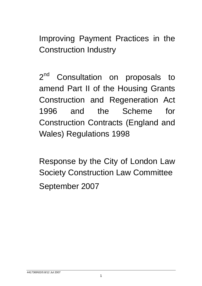Improving Payment Practices in the Construction Industry

2<sup>nd</sup> Consultation on proposals to amend Part II of the Housing Grants Construction and Regeneration Act 1996 and the Scheme for Construction Contracts (England and Wales) Regulations 1998

Response by the City of London Law Society Construction Law Committee September 2007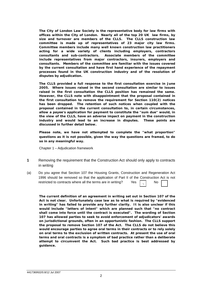*The City of London Law Society is the representative body for law firms with offices within the City of London. Nearly all of the top 20 UK law firms, by size and turnover are members of the CLLS. The CLLS construction law committee is made up of representatives of 23 major city law firms. Committee members include many well known construction law practitioners acting for a wide variety of clients including employers, contractors consultants and sub-contractors. Associate members of the committee include representatives from major contractors, insurers, employers and consultants. Members of the committee are familiar with the issues covered by the current consultation and have first hand experience of the repayment processes found in the UK construction industry and of the resolution of disputes by adjudication.* 

*The CLLS provided a full response to the first consultation exercise in June 2005. Where issues raised in the second consultation are similar to issues raised in the first consultation the CLLS position has remained the same. However, the CLLS note with disappointment that the proposal contained in the first consultation to remove the requirement for Section 110(2) notices has been dropped. The retention of such notices when coupled with the proposal contained in the current consultation to, in certain circumstances, allow a payee's application for payment to constitute the "sum due" would, in the view of the CLLS, have an adverse impact on payment in the construction industry and would lead to an increase in disputes. These points are discussed in further detail below.* 

*Please note, we have not attempted to complete the "what proportion" questions as it is not possible, given the way the questions are framed, to do so in any meaningful way.* 

Chapter 1 – Adjudication framework

- **1** Removing the requirement that the Construction Act should only apply to contracts in writing
- (a) Do you agree that Section 107 the Housing Grants, Construction and Regeneration Act 1996 should be removed so that the application of Part II of the Construction Act is not restricted to contracts where all the terms are in writing? Yes  $\Box$  No √

*The current definition of an agreement in writing set out in Section 107 of the Act is not clear. Unfortunately case law as to what is required by "evidenced in writing" has failed to provide any further clarity. It is also unclear if this would include "letters of intent" which are planned such that "no contract shall come into force until the contract is executed". The wording of Section 107 has allowed parties to seek to avoid enforcement of adjudicators' awards on jurisdictional grounds, often in an opportunistic fashion. The CLLS support the proposal to remove Section 107 of the Act. The CLLS do not believe this would encourage parties to agree oral terms in their contracts or to rely solely on oral terms to the exclusion of written contracts. At present the use of oral terms and oral contracts is a symptom of bad practice rather than a deliberate attempt to circumvent the Act. Such bad practice is best addressed by guidance.*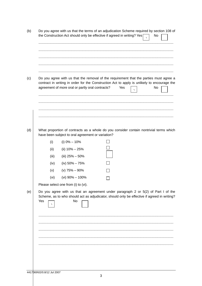|     |             | Do you agree with us that the terms of an adjudication Scheme required by section 108 of<br>the Construction Act should only be effective if agreed in writing? Yes                                                                       |  |     |  | No |  |
|-----|-------------|-------------------------------------------------------------------------------------------------------------------------------------------------------------------------------------------------------------------------------------------|--|-----|--|----|--|
|     |             |                                                                                                                                                                                                                                           |  |     |  |    |  |
|     |             |                                                                                                                                                                                                                                           |  |     |  |    |  |
|     |             | Do you agree with us that the removal of the requirement that the parties must agree a<br>contract in writing in order for the Construction Act to apply is unlikely to encourage the<br>agreement of more oral or partly oral contracts? |  | Yes |  | No |  |
|     |             | What proportion of contracts as a whole do you consider contain nontrivial terms which                                                                                                                                                    |  |     |  |    |  |
|     |             | have been subject to oral agreement or variation?                                                                                                                                                                                         |  |     |  |    |  |
|     | (i)         | (i) $0\% - 10\%$                                                                                                                                                                                                                          |  |     |  |    |  |
|     | (ii)        | (ii) $10\% - 25\%$                                                                                                                                                                                                                        |  |     |  |    |  |
|     | (iii)       | (iii) $25\% - 50\%$<br>(iv) $50\% - 75\%$                                                                                                                                                                                                 |  |     |  |    |  |
|     | (iv)<br>(v) | (v) $75\% - 90\%$                                                                                                                                                                                                                         |  |     |  |    |  |
|     | (vi)        | (vi) $90\% - 100\%$                                                                                                                                                                                                                       |  |     |  |    |  |
|     |             | Please select one from (i) to (vi).                                                                                                                                                                                                       |  |     |  |    |  |
| Yes |             | Do you agree with us that an agreement under paragraph 2 or 5(2) of Part I of the<br>Scheme, as to who should act as adjudicator, should only be effective if agreed in writing?<br>No                                                    |  |     |  |    |  |
|     |             |                                                                                                                                                                                                                                           |  |     |  |    |  |
|     |             |                                                                                                                                                                                                                                           |  |     |  |    |  |
|     |             |                                                                                                                                                                                                                                           |  |     |  |    |  |
|     |             |                                                                                                                                                                                                                                           |  |     |  |    |  |
|     |             |                                                                                                                                                                                                                                           |  |     |  |    |  |
|     |             |                                                                                                                                                                                                                                           |  |     |  |    |  |
|     |             |                                                                                                                                                                                                                                           |  |     |  |    |  |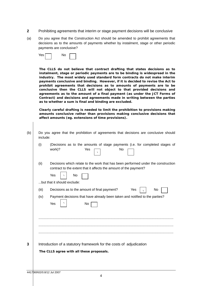- **2** Prohibiting agreements that interim or stage payment decisions will be conclusive
- (a) Do you agree that the Construction Act should be amended to prohibit agreements that decisions as to the amounts of payments whether by instalment, stage or other periodic payments are conclusive?



*The CLLS do not believe that contract drafting that states decisions as to instalment, stage or periodic payments are to be binding is widespread in the industry. The most widely used standard form contracts do not make interim payments conclusive and binding. However, if it is decided to revise the Act to prohibit agreements that decisions as to amounts of payments are to be conclusive then the CLLS will not object to that provided decisions and agreements as to the amount of a final payment (as under the JCT Forms of Contract) and decisions and agreements made in writing between the parties as to whether a sum is final and binding are excluded.* 

*Clearly careful drafting is needed to limit the prohibition to provisions making amounts conclusive rather than provisions making conclusive decisions that affect amounts (eg. extensions of time provisions).*

| (b) | Do you agree that the prohibition of agreements that decisions are conclusive should<br>include:                                                                                                           |
|-----|------------------------------------------------------------------------------------------------------------------------------------------------------------------------------------------------------------|
|     | (Decisions as to the amounts of stage payments (i.e. for completed stages of<br>(i)<br>work)?<br>No<br>Yes                                                                                                 |
|     | (ii)<br>Decisions which relate to the work that has been performed under the construction<br>contract to the extent that it affects the amount of the payment?<br>Yes<br>No<br>but that it should exclude: |
|     |                                                                                                                                                                                                            |
|     | (iii)<br>Decisions as to the amount of final payment?<br>Yes<br>No                                                                                                                                         |
|     | Payment decisions that have already been taken and notified to the parties?<br>(iv)<br>Yes<br>No                                                                                                           |
|     |                                                                                                                                                                                                            |
|     |                                                                                                                                                                                                            |
|     |                                                                                                                                                                                                            |
| 3   | Introduction of a statutory framework for the costs of adjudication<br>The CLLS agree with all these proposals.                                                                                            |
|     |                                                                                                                                                                                                            |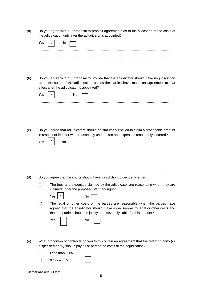|     | the adjudication until after the adjudicator is appointed?                                                                                                                                                                                            |
|-----|-------------------------------------------------------------------------------------------------------------------------------------------------------------------------------------------------------------------------------------------------------|
|     | Yes<br>No                                                                                                                                                                                                                                             |
|     |                                                                                                                                                                                                                                                       |
|     |                                                                                                                                                                                                                                                       |
|     |                                                                                                                                                                                                                                                       |
|     |                                                                                                                                                                                                                                                       |
| (b) | Do you agree with our proposal to provide that the adjudicator should have no jurisdiction<br>as to the costs of the adjudication unless the parties have made an agreement to that<br>effect after the adjudicator is appointed?                     |
|     | Yes<br>No                                                                                                                                                                                                                                             |
|     |                                                                                                                                                                                                                                                       |
|     |                                                                                                                                                                                                                                                       |
|     |                                                                                                                                                                                                                                                       |
| (c) | Do you agree that adjudicators should be statutorily entitled to claim a reasonable amount                                                                                                                                                            |
|     | in respect of fees for work reasonably undertaken and expenses reasonably incurred?                                                                                                                                                                   |
|     | Yes<br>No                                                                                                                                                                                                                                             |
|     |                                                                                                                                                                                                                                                       |
|     |                                                                                                                                                                                                                                                       |
|     |                                                                                                                                                                                                                                                       |
| (d) | Do you agree that the courts should have jurisdiction to decide whether:                                                                                                                                                                              |
|     | The fees and expenses claimed by the adjudicator are reasonable when they are<br>(i)<br>claimed under the proposed statutory right?                                                                                                                   |
|     | Yes<br>No                                                                                                                                                                                                                                             |
|     | The legal or other costs of the parties are reasonable when the parties have<br>(ii)<br>agreed that the adjudicator should make a decision as to legal or other costs and<br>that the parties should be jointly and severally liable for this amount? |
|     | Yes<br>No                                                                                                                                                                                                                                             |
|     |                                                                                                                                                                                                                                                       |
| (e) | What proportion of contracts do you think contain an agreement that the referring party (or<br>a specified party) should pay all or part of the costs of the adjudication?                                                                            |
|     | Less than 0.1%<br>(i)                                                                                                                                                                                                                                 |
|     | $0.1\% - 0.5\%$<br>(ii)                                                                                                                                                                                                                               |

(a) Do you agree with our proposal to prohibit agreements as to the allocation of the costs of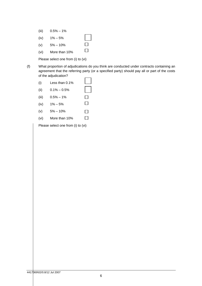- (iii)  $0.5\% 1\%$
- (iv)  $1\% 5\%$
- $\Box$ (v)  $5\% - 10\%$
- (vi) More than 10%

Please select one from (i) to (vi)

(f) What proportion of adjudications do you think are conducted under contracts containing an agreement that the referring party (or a specified party) should pay all or part of the costs of the adjudication?

 $\Box$ 

 $\Box$ 

- (i) Less than 0.1%
- (ii)  $0.1\% 0.5\%$
- (iii)  $0.5\% 1\%$
- $\Box$ (iv)  $1\% - 5\%$
- (v)  $5\% 10\%$  $\Box$
- $\Box$ (vi) More than 10%

Please select one from (i) to (vi)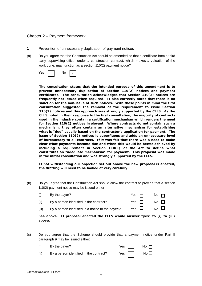# Chapter 2 – Payment framework

- **1** Prevention of unnecessary duplication of payment notices (a) Do you agree that the Construction Act should be amended so that a certificate from a third party supervising officer under a construction contract, which makes a valuation of the work done, may function as a section 110(2) payment notice? Yes No *The consultation states that the intended purpose of this amendment is to prevent unnecessary duplication of Section 110(2) notices and payment certificates. The consultation acknowledges that Section 110(2) notices are frequently not issued when required. It also correctly notes that there is no sanction for the non-issue of such notices. With these points in mind the first consultation suggested the removal of the requirement to issue Section 110(2) notices and this approach was strongly supported by the CLLS. As the CLLS noted in their response to the first consultation, the majority of contracts used in the industry contain a certification mechanism which renders the need for Section 110(2) notices irrelevant. Where contracts do not contain such a mechanism, they often contain an alternative mechanism for establishing what is "due" usually based on the contractor's application for payment. The issue of Section 110(2) notices is superfluous and adds an unnecessary level of bureaucracy to all contracts. If it was felt that there was a need to make clear what payments become due and when this would be better achieved by including a requirement in Section 110(1) of the Act to define what constitutes an "adequate mechanism" for payment. This proposal was made in the initial consultation and was strongly supported by the CLLS. If not withstanding our objection set out above the new proposal is enacted, the drafting will need to be looked at very carefully.* (b) Do you agree that the Construction Act should allow the contract to provide that a section 110(2) payment notice may be issued either: (i) By the payer?  $\blacksquare$  Yes  $\blacksquare$  No  $\blacksquare$ √
	- (ii) By a person identified in the contract?  $\Box$  No  $\Box$
- - (iii) By a person identified in a notice to the payee? Yes  $\Box$  No  $\Box$

*See above. If proposal enacted the CLLS would answer "yes" to (i) to (iii) above.* 

(c) Do you agree that the Scheme should provide that a payment notice under Part II paragraph 9 may be issued either:

| (i)  | By the payer?                           | Yes $\vert$ No $\vert$ |  |
|------|-----------------------------------------|------------------------|--|
| (ii) | By a person identified in the contract? | Yes $\Box$ No $\Box$   |  |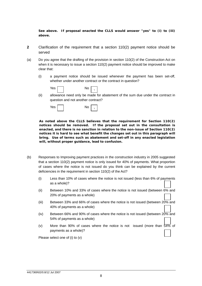*See above. If proposal enacted the CLLS would answer "yes" to (i) to (iii) above.* 

- **2** Clarification of the requirement that a section 110(2) payment notice should be served
- (a) Do you agree that the drafting of the provision in section 110(2) of the Construction Act on when it is necessary to issue a section 110(2) payment notice should be improved to make clear that:
	- (i) a payment notice should be issued whenever the payment has been set-off, whether under another contract or the contract in question?



(ii) allowance need only be made for abatement of the sum due under the contract in question and not another contract?



*As noted above the CLLS believes that the requirement for Section 110(2) notices should be removed. If the proposal set out in the consultation is enacted, and there is no sanction in relation to the non-issue of Section 110(2) notices it is hard to see what benefit the changes set out in this paragraph will bring. Use of terms such as abatement and set-off in any enacted legislation will, without proper guidance, lead to confusion.* 

- (b) Responses to Improving payment practices in the construction industry in 2005 suggested that a section 110(2) payment notice is only issued for 40% of payments. What proportion of cases where the notice is not issued do you think can be explained by the current deficiencies in the requirement in section 110(2) of the Act?
	- (i) Less than 10% of cases where the notice is not issued (less than 6% of payments as a whole)?
	- (ii) Between 10% and 33% of cases where the notice is not issued (between 6% and 20% of payments as a whole)
	- (iii) Between 33% and 66% of cases where the notice is not issued (between 20% and 40% of payments as a whole)
	- (iv) Between 66% and 90% of cases where the notice is not issued (between  $20\%$  and 54% of payments as a whole)
	- (v) More than 90% of cases where the notice is not issued (more than  $54\%$  of payments as a whole)?

Please select one of (i) to (v)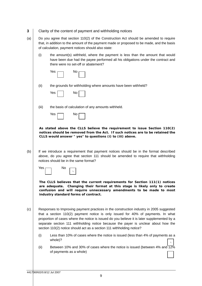- **3** Clarity of the content of payment and withholding notices
- (a) Do you agree that section 110(2) of the Construction Act should be amended to require that, in addition to the amount of the payment made or proposed to be made, and the basis of calculation, payment notices should also state:
	- (i) the amount(s) withheld, where the payment is less than the amount that would have been due had the payee performed all his obligations under the contract and there were no set-off or abatement?

| Yes | No |  |
|-----|----|--|
|     |    |  |

Yes I No

- (ii) the grounds for withholding where amounts have been withheld?
- (iii) the basis of calculation of any amounts withheld.

| Yes |  | No |  |
|-----|--|----|--|
|     |  |    |  |

*As stated above the CLLS believe the requirement to issue Section 110(2) notices should be removed from the Act. If such notices are to be retained the CLLS would answer " yes" to questions (i) to (iii) above.*

 $(b)$  If we introduce a requirement that payment notices should be in the format described above, do you agree that section 111 should be amended to require that withholding notices should be in the same format?

| Yes | N٥ |  |
|-----|----|--|
|     |    |  |
|     |    |  |
|     |    |  |

*The CLLS believes that the current requirements for Section 111(1) notices are adequate. Changing their format at this stage is likely only to create confusion and will require unnecessary amendments to be made to most industry standard forms of contract.*

 $(c)$  Responses to Improving payment practices in the construction industry in 2005 suggested that a section 110(2) payment notice is only issued for 40% of payments. In what proportion of cases where the notice is issued do you believe it is later supplemented by a separate section 111 withholding notice because the payer is unclear about how the section 110(2) notice should act as a section 111 withholding notice?

- (i) Less than 10% of cases where the notice is issued (less than 4% of payments as a whole)? √
- (ii) Between 10% and 30% of cases where the notice is issued (between 4% and  $\overline{12\%}$ of payments as a whole)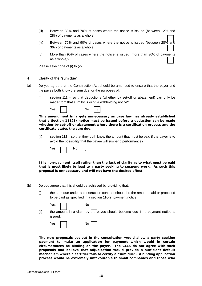- (iii) Between 30% and 70% of cases where the notice is issued (between 12% and 28% of payments as a whole)
- (iv) Between 70% and 90% of cases where the notice is issued (between 28% and 36% of payments as a whole)
- (v) More than 90% of cases where the notice is issued (more than 36% of payments as a whole)?

Please select one of (i) to (v)

- **4** Clarity of the "sum due"
- (a) Do you agree that the Construction Act should be amended to ensure that the payer and the payee both know the sum due for the purposes of:
	- (i) section 111 so that deductions (whether by set-off or abatement) can only be made from that sum by issuing a withholding notice?

| <b>Yes</b> |  | No |  |  |
|------------|--|----|--|--|
|------------|--|----|--|--|

*This amendment is largely unnecessary as case law has already established that a Section 111(1) notice must be issued before a deduction can be made whether by set-off or abatement where there is a certification process and the certificate states the sum due.* 

(ii) section 112 – so that they both know the amount that must be paid if the payer is to avoid the possibility that the payee will suspend performance?

| Yes. | חע |  |
|------|----|--|
|      |    |  |

*It is non-payment itself rather than the lack of clarity as to what must be paid that is most likely to lead to a party seeking to suspend work. As such this proposal is unnecessary and will not have the desired affect.*

(b) Do you agree that this should be achieved by providing that:

(i) the sum due under a construction contract should be the amount paid or proposed to be paid as specified in a section 110(2) payment notice.

|      | Yes $\begin{array}{ c c c c c }\n\hline\n\end{array}$ No $\begin{array}{ c c c }\n\hline\n\end{array}$ |
|------|--------------------------------------------------------------------------------------------------------|
| (ii) | the amount in a claim by the payee should become due if no payment notice is<br>issued.                |
|      |                                                                                                        |

| Yes | No |  |
|-----|----|--|
|     |    |  |

The new proposals set out in the consultation would allow a party seeking *payment to make an application for payment which would in certain circumstances be binding on the payer. The CLLS do not agree with such proposals and believe that adjudication would provide a sufficient default mechanism where a certifier fails to certify a "sum due". A binding application process would be extremely unfavourable to small companies and those who*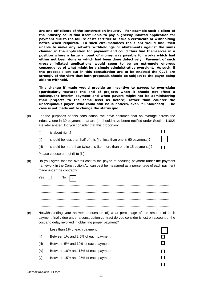*are one off clients of the construction industry. For example such a client of the industry could find itself liable to pay a grossly inflated application for payment due to the failure of its certifier to issue a certificate or withholding notice when required. In such circumstances the client would find itself unable to make any set-offs withholdings or abatements against the sums claimed in the application for payment and could thus find themselves in a position where a large amount of money was payable for works which had either not been done or which had been done defectively. Payment of such grossly inflated applications would seem to be an extremely onerous consequence of what might be a simple administrative oversight. As such, if the proposals set out in this consultation are to be enacted the CLLS are strongly of the view that both proposals should be subject to the payer being able to withhold.* 

*This change if made would provide an incentive to payees to over-claim (particularly towards the end of projects when it should not affect a subsequent interim payment and when payers might not be administering their projects to the same level as before) rather than counter the unscrupulous payer (who could still issue notices, even if unfounded). The case is not made out to change the status quo.*

 $\Box$ 

 $\Box$ 

- (c) For the purposes of this consultation, we have assumed that on average across the industry, one in 30 payments that are (or should have been) notified under Section 110(2) are later abated. Do you consider that this proportion:
	- (i) is about right?
	- (ii) should be less than half of this (i.e. less than one in 60 payments)?
	- (iii) should be more than twice this (i.e. more than one in 15 payments)?

Please choose one of (i) to (iii).

(d) Do you agree that the overall cost to the payee of securing payment under the payment framework in the Construction Act can best be measured as a percentage of each payment made under the contract?

| ۴es | <b>NO</b> |
|-----|-----------|
|     |           |
|     |           |
|     |           |

(e) Notwithstanding your answer to question (d) what percentage of the amount of each payment finally due under a construction contract do you consider is lost on account of the cost and delay involved in obtaining proper payment?

| (i)   | Less than 1% of each payment        |  |
|-------|-------------------------------------|--|
| (ii)  | Between 1% and 2.5% of each payment |  |
| (iii) | Between 5% and 10% of each payment  |  |
| (iv)  | Between 10% and 15% of each payment |  |
| (v)   | Between 15% and 25% of each payment |  |
|       |                                     |  |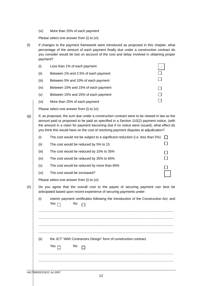(vi) More than 25% of each payment

Please select one answer from (i) to (vi)

(f) If changes to the payment framework were introduced as proposed in this chapter, what percentage of the amount of each payment finally due under a construction contract do you consider would be lost on account of the cost and delay involved in obtaining proper payment?



Please select one answer from (i) to (vi)

| (g) |       | If, as proposed, the sum due under a construction contract were to be viewed in law as the<br>amount paid or proposed to be paid as specified in a Section 110(2) payment notice, (with<br>the amount in a claim for payment becoming due if no notice were issued), what effect do<br>you think this would have on the cost of resolving payment disputes at adjudication? |  |
|-----|-------|-----------------------------------------------------------------------------------------------------------------------------------------------------------------------------------------------------------------------------------------------------------------------------------------------------------------------------------------------------------------------------|--|
|     | (i)   | The cost would not be subject to a significant reduction (i.e. less than 5%)                                                                                                                                                                                                                                                                                                |  |
|     | (ii)  | The cost would be reduced by 5% to 15                                                                                                                                                                                                                                                                                                                                       |  |
|     | (iii) | The cost would be reduced by 15% to 35%                                                                                                                                                                                                                                                                                                                                     |  |
|     | (iv)  | The cost would be reduced by 35% to 65%                                                                                                                                                                                                                                                                                                                                     |  |
|     | (v)   | The cost would be reduced by more than 65%                                                                                                                                                                                                                                                                                                                                  |  |
|     | (vi)  | The cost would be increased?                                                                                                                                                                                                                                                                                                                                                |  |
|     |       | Please select one answer from (i) to (vi)                                                                                                                                                                                                                                                                                                                                   |  |
| (h) |       | Do you agree that the overall cost to the payee of securing payment can best be<br>anticipated based upon recent experience of securing payments under:                                                                                                                                                                                                                     |  |
|     | (i)   | interim payment certificates following the introduction of the Construction Act; and<br>No<br>Yes $\Box$                                                                                                                                                                                                                                                                    |  |
|     |       |                                                                                                                                                                                                                                                                                                                                                                             |  |
|     |       |                                                                                                                                                                                                                                                                                                                                                                             |  |
|     |       |                                                                                                                                                                                                                                                                                                                                                                             |  |
|     |       |                                                                                                                                                                                                                                                                                                                                                                             |  |

(ii) the JCT "With Contractors Design" form of construction contract.

| es : | NO L |  |
|------|------|--|
|      |      |  |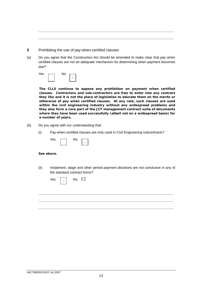................................................................................................................................................ ................................................................................................................................................

- **5** Prohibiting the use of pay-when-certified clauses
- (a) Do you agree that the Construction Act should be amended to make clear that pay when certified clauses are not an adequate mechanism for determining when payment becomes due?



*The CLLS continue to oppose any prohibition on payment when certified clauses. Contractors and sub-contractors are free to enter into any contract they like and it is not the place of legislation to educate them on the merits or otherwise of pay when certified clauses. At any rate, such clauses are used within the civil engineering industry without any widespread problems and they also form a core part of the JCT management contract suite of documents where they have been used successfully (albeit not on a widespread basis) for a number of years.* 

- (b) Do you agree with our understanding that:
	- (i) Pay-when-certified clauses are only used in Civil Engineering subcontracts?

| Yes | N٥ |  |
|-----|----|--|
|     |    |  |

#### *See above.*

(ii) Instalment, stage and other period payment decisions are not conclusive in any of the standard contract forms?

| Yes $\boxed{\ }$ No $\Box$ |  |  |
|----------------------------|--|--|
|                            |  |  |
|                            |  |  |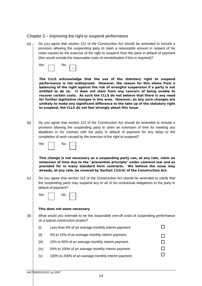## Chapter 3 – Improving the right to suspend performance

(a)  $\mu$  Do you agree that section 112 of the Construction Act should be amended to include a provision allowing the suspending party to claim a reasonable amount in respect of his costs caused by the exercise of the right to suspend from the party in default of payment (this would include the reasonable costs of remobilisation if this is required)?



*The CLLS acknowledge that the use of the statutory right to suspend performance is not widespread. However, the reason for this stems from a balancing of the right against the risk of wrongful suspension if a party is not entitled to do so. It does not stem from any concern of being unable to recover certain costs. As such the CLLS do not believe that there is any need for further legislative changes in this area. However, as any such changes are unlikely to make any significant difference to the take up of the statutory right to suspend, the CLLS do not feel strongly about this issue.*

(b) Do you agree that section 112 of the Construction Act should be amended to include a provision allowing the suspending party to claim an extension of time for meeting any deadlines in his contract with the party in default of payment for any delay to the completion of work caused by the exercise of the right to suspend?



*This change is not necessary as a suspending party can, at any rate, claim an extension of time due to the "prevention principle" under common law and as provided for in many standard form contracts. We believe the issue may already, at any rate, be covered by Section 112(4) of the Construction Act.* 

 $(c)$  Do you agree that section 112 of the Construction Act should be amended to clarify that the suspending party may suspend any or all of his contractual obligations to the party in default of payment?

| Yes | N٥ |  |  |
|-----|----|--|--|
|-----|----|--|--|

## *This does not seem necessary*

(d) What would you estimate to be the reasonable one-off costs of suspending performance on a typical construction project?

| (i)   | Less than 5% of an average monthly interim payment. |  |
|-------|-----------------------------------------------------|--|
| (ii)  | 5% to 15% of an average monthly interim payment.    |  |
| (iii) | 15% to 50% of an average monthly interim payment.   |  |
| (iv)  | 50% to 100% of an average monthly interim payment.  |  |
| (v)   | 100% to 200% of an average monthly interim payment. |  |
|       |                                                     |  |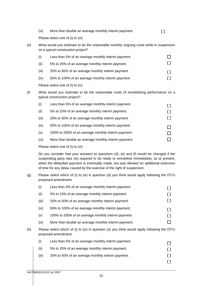| (vi) | More than double an average monthly interim payment. |
|------|------------------------------------------------------|
|------|------------------------------------------------------|

Please select one of (i) to (vi)

(e) What would you estimate to be the reasonable monthly ongoing costs while in suspension on a typical construction project?

 $\Box$ 

 $\Box$ 

| (i)   | Less than 5% of an average monthly interim payment. |  |
|-------|-----------------------------------------------------|--|
| (ii)  | 5% to 25% of an average monthly interim payment.    |  |
| (iii) | 25% to 50% of an average monthly interim payment.   |  |
| (iv)  | 50% to 100% of an average monthly interim payment.  |  |

Please select one of (i) to (iv)

(f) What would you estimate to be the reasonable costs of remobilising performance on a typical construction project?

| (i)   | Less than 5% of an average monthly interim payment.  |  |
|-------|------------------------------------------------------|--|
| (ii)  | 5% to 25% of an average monthly interim payment.     |  |
| (iii) | 25% to 50% of an average monthly interim payment.    |  |
| (iv)  | 50% to 100% of an average monthly interim payment.   |  |
| (v)   | 100% to 200% of an average monthly interim payment.  |  |
| (vi)  | More than double an average monthly interim payment. |  |
|       |                                                      |  |

Please select one of (i) to (vi)

Do you consider that your answers to questions (d), (e) and (f) would be changed if the suspending party was not required to be ready to remobilise immediately, as at present, when the defaulted payment is eventually made, but was allowed an additional extension of time for any delay caused by the exercise of the right of suspension.

(g) Please select which of (i) to (vi) in question (d) you think would apply following the DTI's proposed amendment.

|     | (i)   | Less than 5% of an average monthly interim payment.                                                                 |  |
|-----|-------|---------------------------------------------------------------------------------------------------------------------|--|
|     | (ii)  | 5% to 15% of an average monthly interim payment.                                                                    |  |
|     | (iii) | 15% to 50% of an average monthly interim payment.                                                                   |  |
|     | (iv)  | 50% to 100% of an average monthly interim payment.                                                                  |  |
|     | (v)   | 100% to 200% of an average monthly interim payment.                                                                 |  |
|     | (vi)  | More than double an average monthly interim payment.                                                                |  |
| (h) |       | Please select which of (i) to (iv) in question (e) you think would apply following the DTI's<br>proposed amendment. |  |
|     | (i)   | Less than 5% of an average monthly interim payment.                                                                 |  |
|     | (ii)  | 5% to 25% of an average monthly interim payment.                                                                    |  |
|     | (iii) | 25% to 50% of an average monthly interim payment.                                                                   |  |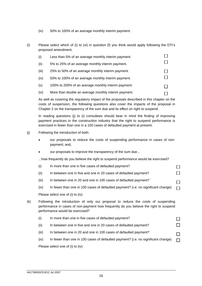- (iv) 50% to 100% of an average monthly interim payment.
- (i) Please select which of (i) to (vi) in question (f) you think would apply following the DTI's proposed amendment.

| (i)   | Less than 5% of an average monthly interim payment.  |  |
|-------|------------------------------------------------------|--|
| (ii)  | 5% to 25% of an average monthly interim payment.     |  |
| (iii) | 25% to 50% of an average monthly interim payment.    |  |
| (iv)  | 50% to 100% of an average monthly interim payment.   |  |
| (v)   | 100% to 200% of an average monthly interim payment.  |  |
| (vi)  | More than double an average monthly interim payment. |  |

As well as covering the regulatory impact of the proposals described in this chapter on the costs of suspension, the following questions also cover the impacts of the proposal in Chapter 2 on the transparency of the sum due and its effect on right to suspend.

In reading questions (j) to (i) consultees should bear in mind the finding of improving payment practices in the construction industry that the right to suspend performance is exercised in fewer than one in a 100 cases of defaulted payment at present.

#### (j) Following the introduction of both:

- our proposals to reduce the costs of suspending performance in cases of nonpayment; and,
- our proposals to improve the transparency of the sum due...

...how frequently do you believe the right to suspend performance would be exercised?

 $\Box$  $\Box$ 

П  $\Box$ 

- (ii) In between one in five and one in 20 cases of defaulted payment?
- (iii) In between one in 20 and one in 100 cases of defaulted payment?
- (iv) In fewer than one in 100 cases of defaulted payment? (i.e. no significant change)

Please select one of (i) to (iv)

(k) Following the introduction of only our proposal to reduce the costs of suspending performance in cases of non-payment how frequently do you believe the right to suspend performance would be exercised?

| (i)   | In more than one in five cases of defaulted payment?                              |              |
|-------|-----------------------------------------------------------------------------------|--------------|
| (ii)  | In between one in five and one in 20 cases of defaulted payment?                  | $\mathsf{L}$ |
| (iii) | In between one in 20 and one in 100 cases of defaulted payment?                   |              |
| (iv)  | In fewer than one in 100 cases of defaulted payment? (i.e. no significant change) | П            |

Please select one of (i) to (iv)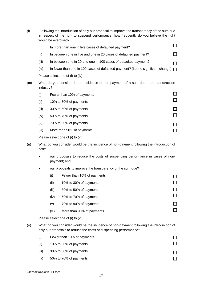| (1) |       | Following the introduction of only our proposal to improve the transparency of the sum due<br>in respect of the right to suspend performance, how frequently do you believe the right<br>would be exercised? |                                                                                                                                                               |        |  |  |
|-----|-------|--------------------------------------------------------------------------------------------------------------------------------------------------------------------------------------------------------------|---------------------------------------------------------------------------------------------------------------------------------------------------------------|--------|--|--|
|     | (i)   |                                                                                                                                                                                                              | In more than one in five cases of defaulted payment?                                                                                                          |        |  |  |
|     | (ii)  |                                                                                                                                                                                                              | In between one in five and one in 20 cases of defaulted payment?                                                                                              |        |  |  |
|     | (iii) |                                                                                                                                                                                                              | In between one in 20 and one in 100 cases of defaulted payment?                                                                                               | $\sim$ |  |  |
|     | (iv)  |                                                                                                                                                                                                              | In fewer than one in 100 cases of defaulted payment? (i.e. no significant change) $\Box$                                                                      |        |  |  |
|     |       |                                                                                                                                                                                                              | Please select one of (i) to (iv)                                                                                                                              |        |  |  |
| (m) |       | What do you consider is the incidence of non-payment of a sum due in the construction<br>industry?                                                                                                           |                                                                                                                                                               |        |  |  |
|     | (i)   |                                                                                                                                                                                                              | Fewer than 10% of payments                                                                                                                                    |        |  |  |
|     | (ii)  |                                                                                                                                                                                                              | 10% to 30% of payments                                                                                                                                        | $\Box$ |  |  |
|     | (iii) |                                                                                                                                                                                                              | 30% to 50% of payments                                                                                                                                        | $\Box$ |  |  |
|     | (iv)  |                                                                                                                                                                                                              | 50% to 70% of payments                                                                                                                                        | $\Box$ |  |  |
|     | (v)   |                                                                                                                                                                                                              | 70% to 90% of payments                                                                                                                                        | $\Box$ |  |  |
|     | (vi)  |                                                                                                                                                                                                              | More than 90% of payments                                                                                                                                     | $\Box$ |  |  |
|     |       | Please select one of (i) to (vi)                                                                                                                                                                             |                                                                                                                                                               |        |  |  |
| (n) | both: | What do you consider would be the incidence of non-payment following the introduction of                                                                                                                     |                                                                                                                                                               |        |  |  |
|     |       | our proposals to reduce the costs of suspending performance in cases of non-<br>payment; and                                                                                                                 |                                                                                                                                                               |        |  |  |
|     |       |                                                                                                                                                                                                              | our proposals to improve the transparency of the sum due?                                                                                                     |        |  |  |
|     |       | (i)                                                                                                                                                                                                          | Fewer than 10% of payments                                                                                                                                    |        |  |  |
|     |       | (ii)                                                                                                                                                                                                         | 10% to 30% of payments                                                                                                                                        |        |  |  |
|     |       | (iii)                                                                                                                                                                                                        | 30% to 50% of payments                                                                                                                                        |        |  |  |
|     |       | (iv)                                                                                                                                                                                                         | 50% to 70% of payments                                                                                                                                        |        |  |  |
|     |       | (v)                                                                                                                                                                                                          | 70% to 90% of payments                                                                                                                                        |        |  |  |
|     |       | (vi)                                                                                                                                                                                                         | More than 90% of payments                                                                                                                                     |        |  |  |
|     |       |                                                                                                                                                                                                              | Please select one of (i) to (vi)                                                                                                                              |        |  |  |
| (0) |       |                                                                                                                                                                                                              | What do you consider would be the incidence of non-payment following the introduction of<br>only our proposals to reduce the costs of suspending performance? |        |  |  |
|     | (i)   |                                                                                                                                                                                                              | Fewer than 10% of payments                                                                                                                                    |        |  |  |
|     | (ii)  |                                                                                                                                                                                                              | 10% to 30% of payments                                                                                                                                        |        |  |  |
|     | (iii) |                                                                                                                                                                                                              | 30% to 50% of payments                                                                                                                                        |        |  |  |
|     | (iv)  |                                                                                                                                                                                                              | 50% to 70% of payments                                                                                                                                        |        |  |  |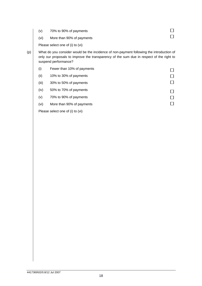|     | (v)  | 70% to 90% of payments                                                                                                                                                               |  |
|-----|------|--------------------------------------------------------------------------------------------------------------------------------------------------------------------------------------|--|
|     | (vi) | More than 90% of payments                                                                                                                                                            |  |
|     |      | Please select one of (i) to (vi)                                                                                                                                                     |  |
| (p) |      | What do you consider would be the incidence of non-payment following the introduction of<br>only our proposals to improve the transparency of the sum due in respect of the right to |  |

suspend performance?

(i) Fewer than 10% of payments  $\Box$ (ii) 10% to 30% of payments  $\Box$  $\Box$ (iii) 30% to 50% of payments (iv) 50% to 70% of payments  $\Box$ (v) 70% to 90% of payments  $\Box$  $\Box$ (vi) More than 90% of payments Please select one of (i) to (vi)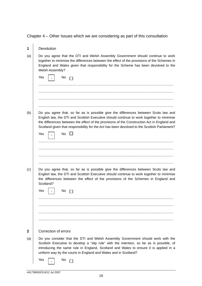Chapter 4 – Other Issues which we are considering as part of this consultation

| 1            | Devolution                                                                                                                                                                                                                                                                                                                                                                     |
|--------------|--------------------------------------------------------------------------------------------------------------------------------------------------------------------------------------------------------------------------------------------------------------------------------------------------------------------------------------------------------------------------------|
| (a)          | Do you agree that the DTI and Welsh Assembly Government should continue to work<br>together to minimise the differences between the effect of the provisions of the Schemes in<br>England and Wales given that responsibility for the Scheme has been devolved to the<br>Welsh Assembly?                                                                                       |
|              | Yes<br>No.                                                                                                                                                                                                                                                                                                                                                                     |
|              |                                                                                                                                                                                                                                                                                                                                                                                |
|              |                                                                                                                                                                                                                                                                                                                                                                                |
|              |                                                                                                                                                                                                                                                                                                                                                                                |
|              |                                                                                                                                                                                                                                                                                                                                                                                |
| (b)          | Do you agree that, so far as is possible give the differences between Scots law and<br>English law, the DTI and Scottish Executive should continue to work together to minimise<br>the differences between the effect of the provisions of the Construction Act in England and<br>Scotland given that responsibility for the Act has been devolved to the Scottish Parliament? |
|              | <b>No</b><br>Yes                                                                                                                                                                                                                                                                                                                                                               |
|              |                                                                                                                                                                                                                                                                                                                                                                                |
|              |                                                                                                                                                                                                                                                                                                                                                                                |
|              |                                                                                                                                                                                                                                                                                                                                                                                |
| (c)          | Do you agree that, so far as is possible give the differences between Scots law and<br>English law, the DTI and Scottish Executive should continue to work together to minimise<br>the differences between the effect of the provisions of the Schemes in England and<br>Scotland?                                                                                             |
|              | Yes<br>N0                                                                                                                                                                                                                                                                                                                                                                      |
|              |                                                                                                                                                                                                                                                                                                                                                                                |
|              |                                                                                                                                                                                                                                                                                                                                                                                |
|              |                                                                                                                                                                                                                                                                                                                                                                                |
|              |                                                                                                                                                                                                                                                                                                                                                                                |
| $\mathbf{2}$ | Correction of errors                                                                                                                                                                                                                                                                                                                                                           |
| (a)          | Do you consider that the DTI and Welsh Assembly Government should work with the<br>Scottish Executive to develop a "slip rule" with the intention, so far as is possible, of<br>introducing the same rule in England, Scotland and Wales to ensure it is applied in a<br>uniform way by the courts in England and Wales and in Scotland?                                       |
|              | Yes<br>No                                                                                                                                                                                                                                                                                                                                                                      |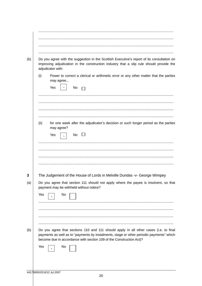|      | Do you agree with the suggestion in the Scottish Executive's report of its consultation on<br>Improving adjudication in the construction industry that a slip rule should provide the<br>adjudicator with:                                                     |
|------|----------------------------------------------------------------------------------------------------------------------------------------------------------------------------------------------------------------------------------------------------------------|
| (i)  | Power to correct a clerical or arithmetic error or any other matter that the parties<br>may agree<br>Yes<br>No                                                                                                                                                 |
| (ii) | for one week after the adjudicator's decision or such longer period as the parties<br>may agree?<br>No $\square$<br>Yes                                                                                                                                        |
|      | The Judgement of the House of Lords in Melville Dundas -v- George Wimpey<br>Do you agree that section 111 should not apply where the payee is insolvent, so that<br>payment may be withheld without notice?                                                    |
| Yes  | No                                                                                                                                                                                                                                                             |
|      | Do you agree that sections 110 and 111 should apply in all other cases (i.e. to final<br>payments as well as to "payments by instalments, stage or other periodic payments" which<br>become due in accordance with section 109 of the Construction Act)?<br>No |